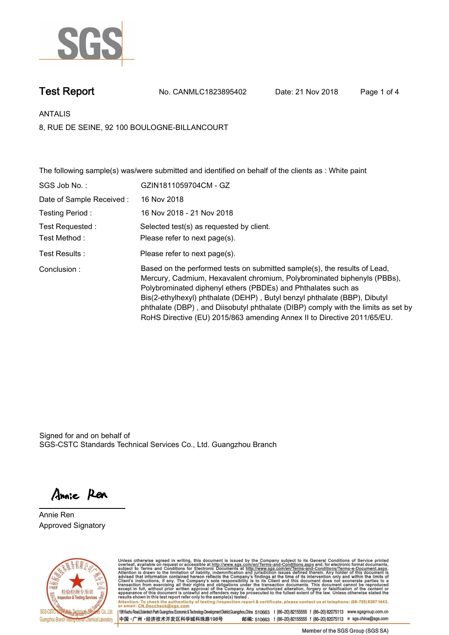

**Test Report. No. CANMLC1823895402 Date: 21 Nov 2018. Page 1 of 4.**

**ANTALIS.**

**8, RUE DE SEINE, 92 100 BOULOGNE-BILLANCOURT**

**The following sample(s) was/were submitted and identified on behalf of the clients as : White paint.**

| SGS Job No.:             | GZIN1811059704CM - GZ                                                                                                                                                                                                                                                                                                                                                                                                                                              |
|--------------------------|--------------------------------------------------------------------------------------------------------------------------------------------------------------------------------------------------------------------------------------------------------------------------------------------------------------------------------------------------------------------------------------------------------------------------------------------------------------------|
| Date of Sample Received: | 16 Nov 2018                                                                                                                                                                                                                                                                                                                                                                                                                                                        |
| Testing Period:          | 16 Nov 2018 - 21 Nov 2018                                                                                                                                                                                                                                                                                                                                                                                                                                          |
| Test Requested :         | Selected test(s) as requested by client.                                                                                                                                                                                                                                                                                                                                                                                                                           |
| Test Method :            | Please refer to next page(s).                                                                                                                                                                                                                                                                                                                                                                                                                                      |
| Test Results :           | Please refer to next page(s).                                                                                                                                                                                                                                                                                                                                                                                                                                      |
| Conclusion:              | Based on the performed tests on submitted sample(s), the results of Lead,<br>Mercury, Cadmium, Hexavalent chromium, Polybrominated biphenyls (PBBs),<br>Polybrominated diphenyl ethers (PBDEs) and Phthalates such as<br>Bis(2-ethylhexyl) phthalate (DEHP), Butyl benzyl phthalate (BBP), Dibutyl<br>phthalate (DBP), and Diisobutyl phthalate (DIBP) comply with the limits as set by<br>RoHS Directive (EU) 2015/863 amending Annex II to Directive 2011/65/EU. |

Signed for and on behalf of SGS-CSTC Standards Technical Services Co., Ltd. Guangzhou Branch.

Annie Ren

**Annie Ren. Approved Signatory.**



Unless otherwise agreed in writing, this document is issued by the Company subject to its General Conditions of Service printed overleaf, available on request or accessible at http://www.sgs.com/en/Terms-and-Conditions.asp Attention: To check the authenticity of testing /inspection report & certificate, please contact us at telephone: (86-755) 8307 1443,<br>Attention: To check the authenticity of testing /inspection report & certificate, please

198 Kezhu Road,Scientech Park Guangzhou Economic & Technology Development District,Guangzhou,China 510663 t (86-20) 82155555 f (86-20) 82075113 www.sgsgroup.com.cn 邮编: 510663 t (86-20) 82155555 f (86-20) 82075113 e sgs.china@sgs.com 中国·广州·经济技术开发区科学城科珠路198号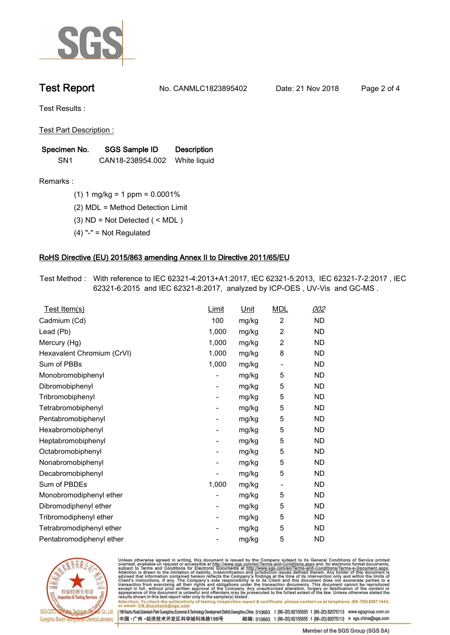

**Test Report. No. CANMLC1823895402 Date: 21 Nov 2018. Page 2 of 4.**

**Test Results :.**

**Test Part Description :.**

| Specimen No.    | SGS Sample ID    | <b>Description</b> |
|-----------------|------------------|--------------------|
| SN <sub>1</sub> | CAN18-238954.002 | White liquid       |

**Remarks :.(1) 1 mg/kg = 1 ppm = 0.0001%.**

**(2) MDL = Method Detection Limit.**

**(3) ND = Not Detected ( < MDL ).**

**(4) "-" = Not Regulated.**

## **RoHS Directive (EU) 2015/863 amending Annex II to Directive 2011/65/EU.**

**Test Method :. With reference to IEC 62321-4:2013+A1:2017, IEC 62321-5:2013, IEC 62321-7-2:2017 , IEC 62321-6:2015 and IEC 62321-8:2017, analyzed by ICP-OES , UV-Vis and GC-MS ..**

| Test Item(s)               | <u>Limit</u>             | <u>Unit</u> | <b>MDL</b>               | 002       |
|----------------------------|--------------------------|-------------|--------------------------|-----------|
| Cadmium (Cd)               | 100                      | mg/kg       | $\overline{2}$           | <b>ND</b> |
| Lead (Pb)                  | 1,000                    | mg/kg       | $\overline{c}$           | <b>ND</b> |
| Mercury (Hg)               | 1,000                    | mg/kg       | 2                        | <b>ND</b> |
| Hexavalent Chromium (CrVI) | 1,000                    | mg/kg       | 8                        | <b>ND</b> |
| Sum of PBBs                | 1,000                    | mg/kg       | $\overline{\phantom{a}}$ | <b>ND</b> |
| Monobromobiphenyl          |                          | mg/kg       | 5                        | <b>ND</b> |
| Dibromobiphenyl            | $\overline{\phantom{a}}$ | mg/kg       | 5                        | <b>ND</b> |
| Tribromobiphenyl           | ۰                        | mg/kg       | 5                        | <b>ND</b> |
| Tetrabromobiphenyl         | $\overline{\phantom{a}}$ | mg/kg       | 5                        | <b>ND</b> |
| Pentabromobiphenyl         | -                        | mg/kg       | 5                        | <b>ND</b> |
| Hexabromobiphenyl          | -                        | mg/kg       | 5                        | <b>ND</b> |
| Heptabromobiphenyl         | ۰                        | mg/kg       | 5                        | <b>ND</b> |
| Octabromobiphenyl          | $\overline{\phantom{a}}$ | mg/kg       | 5                        | <b>ND</b> |
| Nonabromobiphenyl          |                          | mg/kg       | 5                        | <b>ND</b> |
| Decabromobiphenyl          |                          | mg/kg       | 5                        | <b>ND</b> |
| Sum of PBDEs               | 1,000                    | mg/kg       | $\overline{\phantom{a}}$ | <b>ND</b> |
| Monobromodiphenyl ether    |                          | mg/kg       | 5                        | <b>ND</b> |
| Dibromodiphenyl ether      | $\overline{\phantom{a}}$ | mg/kg       | 5                        | <b>ND</b> |
| Tribromodiphenyl ether     | $\overline{\phantom{a}}$ | mg/kg       | 5                        | <b>ND</b> |
| Tetrabromodiphenyl ether   |                          | mg/kg       | 5                        | <b>ND</b> |
| Pentabromodiphenyl ether   |                          | mg/kg       | 5                        | <b>ND</b> |
|                            |                          |             |                          |           |



Unless otherwise agreed in writing, this document is issued by the Company subject to its General Conditions of Service printed<br>overleaf, available on request or accessible at http://www.sgs.com/en/Terms-and-Conditions.asp Attention: To check the authenticity of testing /inspection report & certificate, please contact us at telephone: (86-755) 8307 1443,<br>Attention: To check the authenticity of testing /inspection report & certificate, please

198 Kezhu Road,Scientech Park Guangzhou Economic & Technology Development District,Guangzhou,China 510663 t (86-20) 82155555 f (86-20) 82075113 www.sgsgroup.com.cn 中国·广州·经济技术开发区科学城科珠路198号

邮编: 510663 t (86-20) 82155555 f (86-20) 82075113 e sgs.china@sgs.com Member of the SGS Group (SGS SA)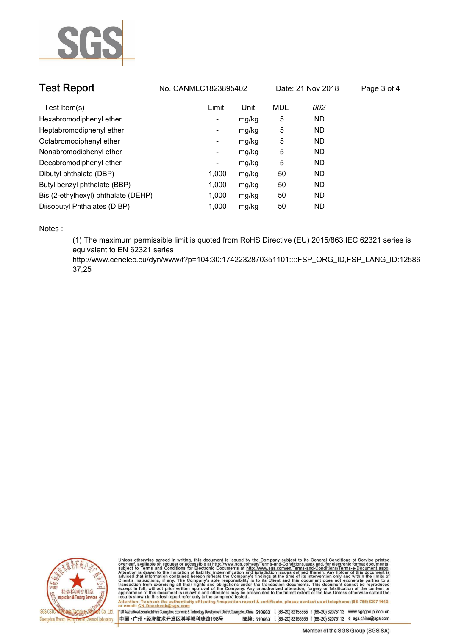

| <b>Test Report</b>                  | No. CANMLC1823895402<br>Date: 21 Nov 2018 |             |            | Page 3 of 4 |  |
|-------------------------------------|-------------------------------------------|-------------|------------|-------------|--|
| Test Item(s)                        | Limit                                     | <u>Unit</u> | <b>MDL</b> | 002         |  |
| Hexabromodiphenyl ether             | -                                         | mg/kg       | 5          | <b>ND</b>   |  |
| Heptabromodiphenyl ether            | ٠                                         | mg/kg       | 5          | <b>ND</b>   |  |
| Octabromodiphenyl ether             | ٠                                         | mg/kg       | 5          | <b>ND</b>   |  |
| Nonabromodiphenyl ether             | ۰                                         | mg/kg       | 5          | <b>ND</b>   |  |
| Decabromodiphenyl ether             | Ξ.                                        | mg/kg       | 5          | <b>ND</b>   |  |
| Dibutyl phthalate (DBP)             | 1.000                                     | mg/kg       | 50         | <b>ND</b>   |  |
| Butyl benzyl phthalate (BBP)        | 1.000                                     | mg/kg       | 50         | <b>ND</b>   |  |
| Bis (2-ethylhexyl) phthalate (DEHP) | 1.000                                     | mg/kg       | 50         | <b>ND</b>   |  |
| Diisobutyl Phthalates (DIBP)        | 1.000                                     | mg/kg       | 50         | <b>ND</b>   |  |

**Notes :.**

**(1) The maximum permissible limit is quoted from RoHS Directive (EU) 2015/863.IEC 62321 series is equivalent to EN 62321 series** 

**http://www.cenelec.eu/dyn/www/f?p=104:30:1742232870351101::::FSP\_ORG\_ID,FSP\_LANG\_ID:12586 37,25.**



Unless otherwise agreed in writing, this document is issued by the Company subject to its General Conditions of Service printed<br>overleaf, available on request or accessible at http://www.sgs.com/en/Terms-and-Conditions.asp Attention: To check the authenticity of testing /inspection report & certificate, please contact us at telephone: (86-755) 8307 1443,<br>Attention: To check the authenticity of testing /inspection report & certificate, please

198 Kezhu Road,Scientech Park Guangzhou Economic & Technology Development District,Guangzhou,China 510663 t (86-20) 82155555 f (86-20) 82075113 www.sgsgroup.com.cn 中国·广州·经济技术开发区科学城科珠路198号 邮编: 510663 t (86-20) 82155555 f (86-20) 82075113 e sgs.china@sgs.com